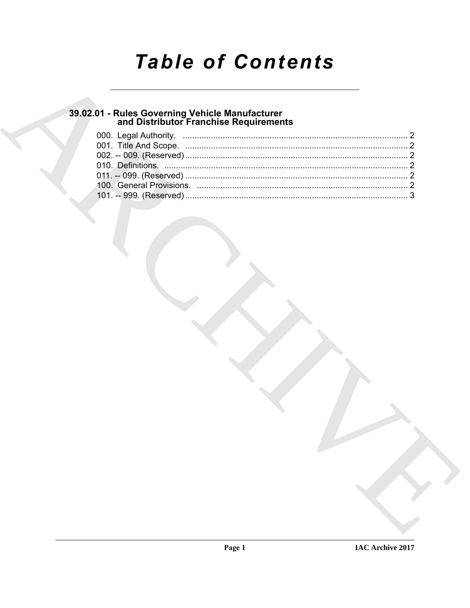# **Table of Contents**

## 39.02.01 - Rules Governing Vehicle Manufacturer<br>and Distributor Franchise Requirements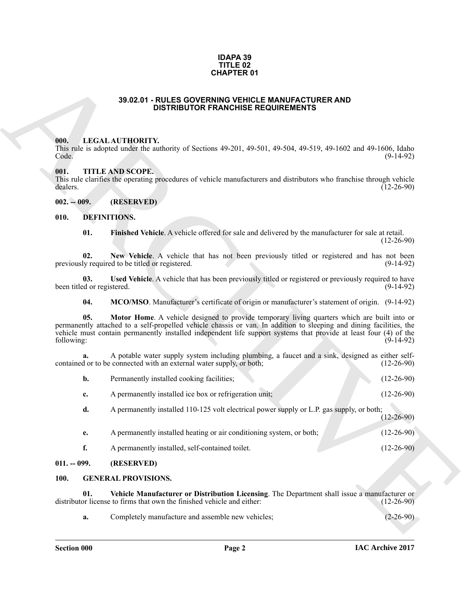#### **IDAPA 39 TITLE 02 CHAPTER 01**

### **39.02.01 - RULES GOVERNING VEHICLE MANUFACTURER AND DISTRIBUTOR FRANCHISE REQUIREMENTS**

#### <span id="page-1-1"></span><span id="page-1-0"></span>**000. LEGAL AUTHORITY.**

#### <span id="page-1-2"></span>**001. TITLE AND SCOPE.**

#### <span id="page-1-12"></span><span id="page-1-11"></span><span id="page-1-10"></span><span id="page-1-9"></span><span id="page-1-8"></span><span id="page-1-7"></span><span id="page-1-4"></span><span id="page-1-3"></span>**010. DEFINITIONS.**

| <b>CHAPTER 01</b> |                       |                                                                                                                                                                                                                                                                                                                                         |                  |  |
|-------------------|-----------------------|-----------------------------------------------------------------------------------------------------------------------------------------------------------------------------------------------------------------------------------------------------------------------------------------------------------------------------------------|------------------|--|
|                   |                       | 39.02.01 - RULES GOVERNING VEHICLE MANUFACTURER AND<br><b>DISTRIBUTOR FRANCHISE REQUIREMENTS</b>                                                                                                                                                                                                                                        |                  |  |
|                   | 000.<br>Code.<br>001. | <b>LEGAL AUTHORITY.</b><br>This rule is adopted under the authority of Sections 49-201, 49-501, 49-504, 49-519, 49-1602 and 49-1606, Idaho<br><b>TITLE AND SCOPE.</b><br>This rule clarifies the operating procedures of vehicle manufacturers and distributors who franchise through vehicle                                           | $(9-14-92)$      |  |
|                   | dealers.              |                                                                                                                                                                                                                                                                                                                                         | $(12-26-90)$     |  |
|                   | $002. - 009.$         | (RESERVED)                                                                                                                                                                                                                                                                                                                              |                  |  |
|                   | 010.                  | <b>DEFINITIONS.</b>                                                                                                                                                                                                                                                                                                                     |                  |  |
|                   | 01.                   | Finished Vehicle. A vehicle offered for sale and delivered by the manufacturer for sale at retail.                                                                                                                                                                                                                                      | $(12-26-90)$     |  |
|                   | 02.                   | New Vehicle. A vehicle that has not been previously titled or registered and has not been<br>previously required to be titled or registered.                                                                                                                                                                                            | $(9-14-92)$      |  |
|                   | 03.                   | Used Vehicle. A vehicle that has been previously titled or registered or previously required to have<br>been titled or registered.                                                                                                                                                                                                      | $(9-14-92)$      |  |
|                   | 04.                   | MCO/MSO. Manufacturer's certificate of origin or manufacturer's statement of origin. (9-14-92)                                                                                                                                                                                                                                          |                  |  |
|                   | 05.<br>following:     | Motor Home. A vehicle designed to provide temporary living quarters which are built into or<br>permanently attached to a self-propelled vehicle chassis or van. In addition to sleeping and dining facilities, the<br>vehicle must contain permanently installed independent life support systems that provide at least four (4) of the | $(9-14-92)$      |  |
|                   | a.                    | A potable water supply system including plumbing, a faucet and a sink, designed as either self-<br>contained or to be connected with an external water supply, or both;                                                                                                                                                                 | $(12-26-90)$     |  |
|                   | b.                    | Permanently installed cooking facilities;                                                                                                                                                                                                                                                                                               | $(12-26-90)$     |  |
|                   | c.                    | A permanently installed ice box or refrigeration unit;                                                                                                                                                                                                                                                                                  | $(12-26-90)$     |  |
|                   | d.                    | A permanently installed 110-125 volt electrical power supply or L.P. gas supply, or both;                                                                                                                                                                                                                                               | $(12 - 26 - 90)$ |  |
|                   | e.                    | A permanently installed heating or air conditioning system, or both;                                                                                                                                                                                                                                                                    | $(12-26-90)$     |  |
|                   | f.                    | A permanently installed, self-contained toilet.                                                                                                                                                                                                                                                                                         | $(12-26-90)$     |  |
|                   | $011. - 099.$         | (RESERVED)                                                                                                                                                                                                                                                                                                                              |                  |  |
|                   | 100.                  | <b>GENERAL PROVISIONS.</b>                                                                                                                                                                                                                                                                                                              |                  |  |
|                   | 01.                   | Vehicle Manufacturer or Distribution Licensing. The Department shall issue a manufacturer or<br>distributor license to firms that own the finished vehicle and either:                                                                                                                                                                  | $(12-26-90)$     |  |
|                   | a.                    | Completely manufacture and assemble new vehicles;                                                                                                                                                                                                                                                                                       | $(2-26-90)$      |  |
|                   |                       |                                                                                                                                                                                                                                                                                                                                         |                  |  |

#### <span id="page-1-5"></span>**011. -- 099. (RESERVED)**

#### <span id="page-1-14"></span><span id="page-1-13"></span><span id="page-1-6"></span>**100. GENERAL PROVISIONS.**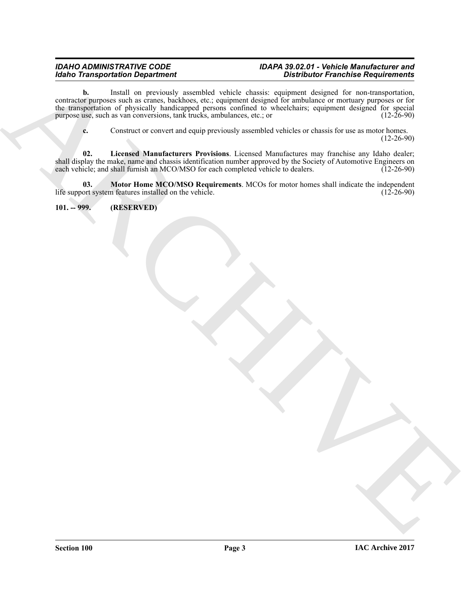### *IDAHO ADMINISTRATIVE CODE IDAPA 39.02.01 - Vehicle Manufacturer and Distributor Franchise Requirements*

**Excels Transportation Dependent of the state of the control of the control of the control of the control of the control of the control of the control of the control of the control of the control of the control of the con b.** Install on previously assembled vehicle chassis: equipment designed for non-transportation, contractor purposes such as cranes, backhoes, etc.; equipment designed for ambulance or mortuary purposes or for the transportation of physically handicapped persons confined to wheelchairs; equipment designed for special purpose use, such as van conversions, tank trucks, ambulances, etc.; or (12-26-90) purpose use, such as van conversions, tank trucks, ambulances, etc.; or

<span id="page-2-2"></span><span id="page-2-1"></span>**c.** Construct or convert and equip previously assembled vehicles or chassis for use as motor homes. (12-26-90)

**02. Licensed Manufacturers Provisions**. Licensed Manufactures may franchise any Idaho dealer; shall display the make, name and chassis identification number approved by the Society of Automotive Engineers on each vehicle; and shall furnish an MCO/MSO for each completed vehicle to dealers. (12-26-90) each vehicle; and shall furnish an MCO/MSO for each completed vehicle to dealers.

**03. Motor Home MCO/MSO Requirements**. MCOs for motor homes shall indicate the independent ort system features installed on the vehicle. (12-26-90) life support system features installed on the vehicle.

<span id="page-2-0"></span>**101. -- 999. (RESERVED)**